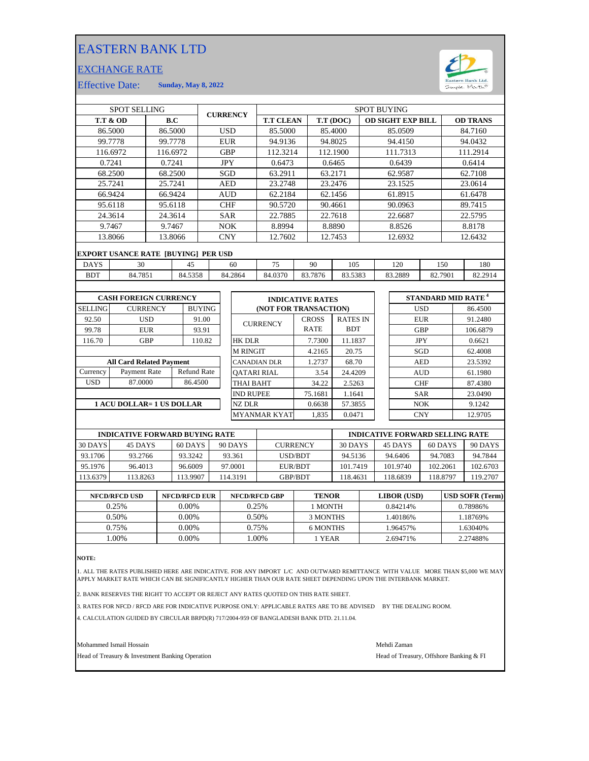## EASTERN BANK LTD

## EXCHANGE RATE



12.9705

Effective Date: **Sunday, May 8, 2022**

|                | <b>SPOT SELLING</b>                        |                 |                    |               |            | <b>CURRENCY</b>    |                         |              |         |                 | <b>SPOT BUYING</b> |                          |                                      |         |                 |
|----------------|--------------------------------------------|-----------------|--------------------|---------------|------------|--------------------|-------------------------|--------------|---------|-----------------|--------------------|--------------------------|--------------------------------------|---------|-----------------|
|                | <b>T.T &amp; OD</b>                        |                 | B.C                |               |            |                    | <b>T.T CLEAN</b>        |              |         | T.T (DOC)       |                    | <b>OD SIGHT EXP BILL</b> |                                      |         | <b>OD TRANS</b> |
|                | 86.5000                                    |                 | 86.5000            |               | <b>USD</b> |                    | 85.5000                 |              |         | 85.4000         |                    | 85.0509                  |                                      |         | 84.7160         |
|                | 99.7778                                    |                 | 99.7778            |               | <b>EUR</b> |                    | 94.9136                 |              |         | 94.8025         |                    | 94.4150                  |                                      |         | 94.0432         |
|                | 116.6972                                   |                 | 116.6972           |               | <b>GBP</b> |                    | 112.3214                |              |         | 112.1900        |                    | 111.7313                 |                                      |         | 111.2914        |
|                | 0.7241                                     | 0.7241          |                    | <b>JPY</b>    |            | 0.6473             |                         |              | 0.6465  |                 | 0.6439             |                          | 0.6414                               |         |                 |
| 68.2500        |                                            |                 | 68.2500            |               | SGD        |                    | 63.2911                 |              | 63.2171 |                 | 62.9587            |                          | 62.7108                              |         |                 |
|                | 25.7241                                    |                 | 25.7241            |               | <b>AED</b> |                    | 23.2748                 |              | 23.2476 |                 | 23.1525            |                          | 23.0614                              |         |                 |
|                | 66.9424                                    |                 | 66.9424            |               | <b>AUD</b> |                    | 62.2184                 |              | 62.1456 |                 | 61.8915            |                          |                                      | 61.6478 |                 |
|                | 95.6118                                    |                 | 95.6118            |               | <b>CHF</b> |                    | 90.5720                 |              |         | 90.4661         |                    | 90.0963                  |                                      |         | 89.7415         |
|                | 24.3614                                    |                 | 24.3614            |               | <b>SAR</b> |                    | 22.7885                 |              |         | 22.7618         |                    | 22.6687                  |                                      |         | 22.5795         |
|                | 9.7467                                     | 9.7467          |                    | <b>NOK</b>    |            |                    | 8.8994                  |              |         | 8.8890          |                    | 8.8526                   |                                      | 8.8178  |                 |
|                | 13.8066                                    |                 | 13.8066            |               | <b>CNY</b> |                    | 12.7602                 |              |         | 12.7453         |                    | 12.6932                  |                                      |         | 12.6432         |
|                | <b>EXPORT USANCE RATE [BUYING] PER USD</b> |                 |                    |               |            |                    |                         |              |         |                 |                    |                          |                                      |         |                 |
| <b>DAYS</b>    | 30                                         |                 | 45                 |               |            | 60                 | 75                      | 90           |         | 105             |                    | 120                      | 150                                  |         | 180             |
| <b>BDT</b>     | 84.7851                                    |                 | 84.5358            |               |            | 84.2864            | 84.0370                 | 83.7876      |         | 83.5383         |                    | 83.2889                  | 82.7901                              |         | 82.2914         |
|                |                                            |                 |                    |               |            |                    |                         |              |         |                 |                    |                          |                                      |         |                 |
|                |                                            |                 |                    |               |            |                    |                         |              |         |                 |                    |                          |                                      |         |                 |
|                | <b>CASH FOREIGN CURRENCY</b>               |                 |                    |               |            |                    | <b>INDICATIVE RATES</b> |              |         |                 |                    |                          | <b>STANDARD MID RATE<sup>4</sup></b> |         |                 |
| <b>SELLING</b> |                                            | <b>CURRENCY</b> |                    | <b>BUYING</b> |            |                    | (NOT FOR TRANSACTION)   |              |         |                 |                    |                          | <b>USD</b>                           |         | 86.4500         |
| 92.50          |                                            | <b>USD</b>      |                    | 91.00         |            |                    | <b>CURRENCY</b>         | <b>CROSS</b> |         | <b>RATES IN</b> |                    |                          | <b>EUR</b>                           |         | 91.2480         |
| 99.78          |                                            | <b>EUR</b>      |                    | 93.91         |            |                    |                         | <b>RATE</b>  |         | <b>BDT</b>      |                    |                          | <b>GBP</b>                           |         | 106.6879        |
| 116.70         |                                            | <b>GBP</b>      |                    | 110.82        |            | <b>HK DLR</b>      |                         | 7.7300       |         | 11.1837         |                    |                          | <b>JPY</b>                           |         | 0.6621          |
|                |                                            |                 |                    |               |            | <b>M RINGIT</b>    |                         | 4.2165       |         | 20.75           |                    |                          | <b>SGD</b>                           |         | 62.4008         |
|                | <b>All Card Related Payment</b>            |                 |                    |               |            |                    | <b>CANADIAN DLR</b>     | 1.2737       |         | 68.70           |                    |                          | <b>AED</b>                           |         | 23.5392         |
| Currency       | Payment Rate                               |                 | <b>Refund Rate</b> |               |            | <b>OATARI RIAL</b> |                         |              | 3.54    | 24.4209         |                    |                          | <b>AUD</b>                           |         | 61.1980         |
| <b>USD</b>     | 87.0000                                    |                 | 86.4500            |               |            | <b>THAI BAHT</b>   |                         | 34.22        |         | 2.5263          |                    |                          | <b>CHF</b>                           |         | 87.4380         |
|                |                                            |                 |                    |               |            | <b>IND RUPEE</b>   |                         | 75.1681      |         | 1.1641          |                    |                          | <b>SAR</b>                           |         | 23.0490         |
|                | 1 ACU DOLLAR= 1 US DOLLAR                  |                 |                    |               |            | <b>NZ DLR</b>      |                         | 0.6638       |         | 57.3855         |                    |                          | <b>NOK</b>                           |         | 9.1242          |

**1 ACU DOLLAR= 1 US DOLLAR**

| <b>IYING RATE</b> |                     |         | <b>INDICATIVE FORWARD SELLING RATE</b> |  |            |         |  |
|-------------------|---------------------|---------|----------------------------------------|--|------------|---------|--|
|                   |                     |         |                                        |  |            |         |  |
|                   | <b>MYANMAR KYAT</b> | 1,835   | 0.0471                                 |  | <b>CNY</b> | 12.970. |  |
| AR                | NZ DLR              | 0.6638  | 57.3855                                |  | <b>NOK</b> | 9.1242  |  |
|                   | <b>IND RUPEE</b>    | 75.1681 | 1.1641                                 |  | <b>SAR</b> | 23.049  |  |
| .4500             | <b>THAI BAHT</b>    | 34.22   | 2.5263                                 |  | <b>CHF</b> | 87.438  |  |
| nd Rate           | <b>OATARI RIAL</b>  | 3.54    | 24.4209                                |  | <b>AUD</b> | 61.1980 |  |
|                   | CANADIAN DLR        | 1.2737  | 68.70                                  |  | AED        | 23.5392 |  |

|          | <b>INDICATIVE FORWARD BUYING RATE</b> |         |          |                 |          | <b>INDICATIVE FORWARD SELLING RATE</b> |          |          |
|----------|---------------------------------------|---------|----------|-----------------|----------|----------------------------------------|----------|----------|
| 30 DAYS  | 45 DAYS                               | 60 DAYS | 90 DAYS  | <b>CURRENCY</b> | 30 DAYS  | 45 DAYS                                | 60 DAYS  | 90 DAYS  |
| 93.1706  | 93.2766                               | 93.3242 | 93.361   | USD/BDT         | 94.5136  | 94.6406                                | 94.7083  | 94.7844  |
| 95.1976  | 96.4013                               | 96.6009 | 97.0001  | EUR/BDT         | 101.7419 | 101.9740                               | 102.2061 | 102.6703 |
| 113.6379 | 113.8263                              | 13.9907 | 114.3191 | <b>GBP/BDT</b>  | 118.4631 | 18.6839                                | 118.8797 | 119.2707 |
|          |                                       |         |          |                 |          |                                        |          |          |

| <b>NFCD/RFCD USD</b> | <b>NFCD/RFCD EUR</b> | <b>NFCD/RFCD GBP</b> | <b>TENOR</b> | <b>LIBOR</b> (USD) | <b>USD SOFR (Term)</b> |
|----------------------|----------------------|----------------------|--------------|--------------------|------------------------|
| 0.25%                | $0.00\%$             | 0.25%                | 1 MONTH      | 0.84214\%          | 0.78986%               |
| 0.50%                | $0.00\%$             | 0.50%                | 3 MONTHS     | .40186%            | 1.18769%               |
| 0.75%                | 0.00%                | 0.75%                | 6 MONTHS     | .96457%            | 1.63040%               |
| .00%                 | 0.00%                | .00%                 | l YEAR       | 2.69471%           | 2.27488%               |
|                      |                      |                      |              |                    |                        |

**NOTE:**

1. ALL THE RATES PUBLISHED HERE ARE INDICATIVE. FOR ANY IMPORT L/C AND OUTWARD REMITTANCE WITH VALUE MORE THAN \$5,000 WE MAY APPLY MARKET RATE WHICH CAN BE SIGNIFICANTLY HIGHER THAN OUR RATE SHEET DEPENDING UPON THE INTERBANK MARKET.

2. BANK RESERVES THE RIGHT TO ACCEPT OR REJECT ANY RATES QUOTED ON THIS RATE SHEET.

3. RATES FOR NFCD / RFCD ARE FOR INDICATIVE PURPOSE ONLY: APPLICABLE RATES ARE TO BE ADVISED BY THE DEALING ROOM.

4. CALCULATION GUIDED BY CIRCULAR BRPD(R) 717/2004-959 OF BANGLADESH BANK DTD. 21.11.04.

Mohammed Ismail Hossain Mehdi Zaman

Head of Treasury & Investment Banking Operation **Head of Treasury, Offshore Banking & FI**